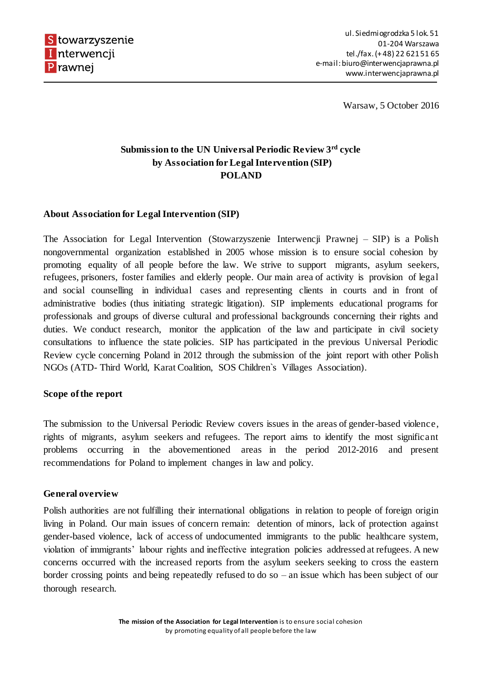

Warsaw, 5 October 2016

# **Submission to the UN Universal Periodic Review 3 rd cycle by Association for Legal Intervention (SIP) POLAND**

# **About Association for Legal Intervention (SIP)**

The Association for Legal Intervention (Stowarzyszenie Interwencji Prawnej – SIP) is a Polish nongovernmental organization established in 2005 whose mission is to ensure social cohesion by promoting equality of all people before the law. We strive to support migrants, asylum seekers, refugees, prisoners, foster families and elderly people. Our main area of activity is provision of legal and social counselling in individual cases and representing clients in courts and in front of administrative bodies (thus initiating strategic litigation). SIP implements educational programs for professionals and groups of diverse cultural and professional backgrounds concerning their rights and duties. We conduct research, monitor the application of the law and participate in civil society consultations to influence the state policies. SIP has participated in the previous Universal Periodic Review cycle concerning Poland in 2012 through the submission of the joint report with other Polish NGOs (ATD- Third World, Karat Coalition, SOS Children`s Villages Association).

#### **Scope of the report**

The submission to the Universal Periodic Review covers issues in the areas of gender-based violence, rights of migrants, asylum seekers and refugees. The report aims to identify the most significant problems occurring in the abovementioned areas in the period 2012-2016 and present recommendations for Poland to implement changes in law and policy.

#### **General overview**

Polish authorities are not fulfilling their international obligations in relation to people of foreign origin living in Poland. Our main issues of concern remain: detention of minors, lack of protection against gender-based violence, lack of access of undocumented immigrants to the public healthcare system, violation of immigrants' labour rights and ineffective integration policies addressed at refugees. A new concerns occurred with the increased reports from the asylum seekers seeking to cross the eastern border crossing points and being repeatedly refused to do so – an issue which has been subject of our thorough research.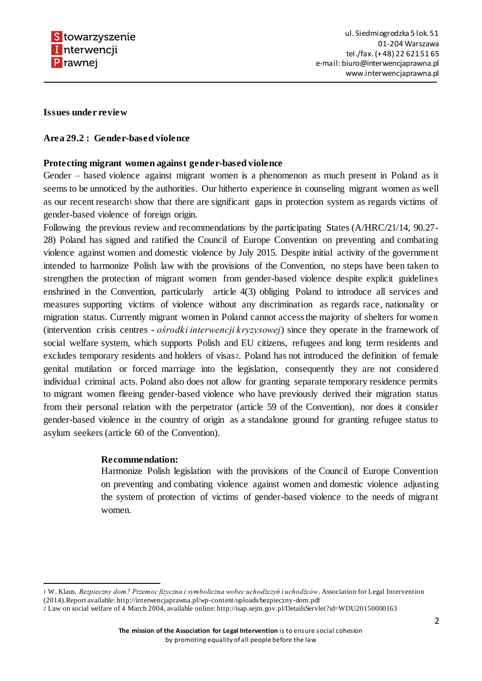## **Issues under review**

## **Area 29.2 : Gender-based violence**

## **Protecting migrant women against gender-based violence**

Gender – based violence against migrant women is a phenomenon as much present in Poland as it seems to be unnoticed by the authorities. Our hitherto experience in counseling migrant women as well as our recent research<sup>1</sup> show that there are significant gaps in protection system as regards victims of gender-based violence of foreign origin.

Following the previous review and recommendations by the participating States (A/HRC/21/14, 90.27- 28) Poland has signed and ratified the Council of Europe Convention on preventing and combating violence against women and domestic violence by July 2015. Despite initial activity of the government intended to harmonize Polish law with the provisions of the Convention, no steps have been taken to strengthen the protection of migrant women from gender-based violence despite explicit guidelines enshrined in the Convention, particularly article 4(3) obliging Poland to introduce all services and measures supporting victims of violence without any discrimination as regards race, nationality or migration status. Currently migrant women in Poland cannot access the majority of shelters for women (intervention crisis centres - *ośrodki interwencji kryzysowej*) since they operate in the framework of social welfare system, which supports Polish and EU citizens, refugees and long term residents and excludes temporary residents and holders of visas2. Poland has not introduced the definition of female genital mutilation or forced marriage into the legislation, consequently they are not considered individual criminal acts. Poland also does not allow for granting separate temporary residence permits to migrant women fleeing gender-based violence who have previously derived their migration status from their personal relation with the perpetrator (article 59 of the Convention), nor does it consider gender-based violence in the country of origin as a standalone ground for granting refugee status to asylum seekers (article 60 of the Convention).

# **Recommendation:**

Harmonize Polish legislation with the provisions of the Council of Europe Convention on preventing and combating violence against women and domestic violence adjusting the system of protection of victims of gender-based violence to the needs of migrant women.

l 1 W. Klaus, *Bezpieczny dom? Przemoc fizyczna i symboliczna wobec uchodźczyń i uchodźców*. Association for Legal Intervention (2014).Report available: http://interwencjaprawna.pl/wp-content/uploads/bezpieczny-dom.pdf

<sup>2</sup> Law on social welfare of 4 March 2004, available online: http://isap.sejm.gov.pl/DetailsServlet?id=WDU20150000163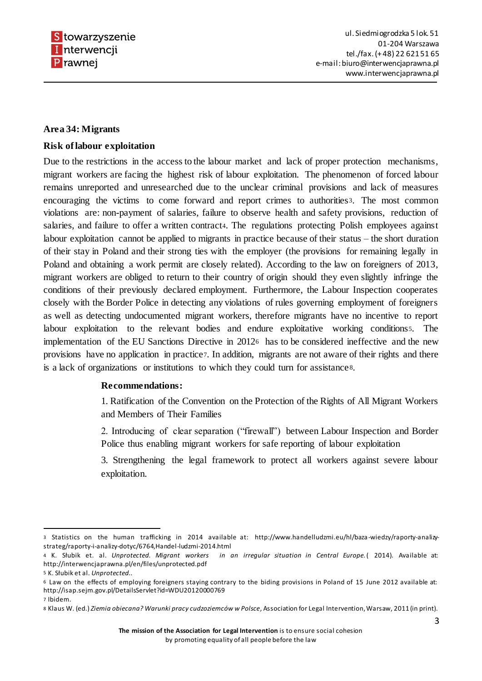# **Area 34: Migrants**

# **Risk of labour exploitation**

Due to the restrictions in the access to the labour market and lack of proper protection mechanisms, migrant workers are facing the highest risk of labour exploitation. The phenomenon of forced labour remains unreported and unresearched due to the unclear criminal provisions and lack of measures encouraging the victims to come forward and report crimes to authorities3. The most common violations are: non-payment of salaries, failure to observe health and safety provisions, reduction of salaries, and failure to offer a written contract<sup>4</sup>. The regulations protecting Polish employees against labour exploitation cannot be applied to migrants in practice because of their status – the short duration of their stay in Poland and their strong ties with the employer (the provisions for remaining legally in Poland and obtaining a work permit are closely related). According to the law on foreigners of 2013, migrant workers are obliged to return to their country of origin should they even slightly infringe the conditions of their previously declared employment. Furthermore, the Labour Inspection cooperates closely with the Border Police in detecting any violations of rules governing employment of foreigners as well as detecting undocumented migrant workers, therefore migrants have no incentive to report labour exploitation to the relevant bodies and endure exploitative working conditions5. The implementation of the EU Sanctions Directive in 20126 has to be considered ineffective and the new provisions have no application in practice7. In addition, migrants are not aware of their rights and there is a lack of organizations or institutions to which they could turn for assistance <sup>8</sup>.

#### **Recommendations:**

1. Ratification of the Convention on the Protection of the Rights of All Migrant Workers and Members of Their Families

2. Introducing of clear separation ("firewall") between Labour Inspection and Border Police thus enabling migrant workers for safe reporting of labour exploitation

3. Strengthening the legal framework to protect all workers against severe labour exploitation.

l

<sup>3</sup> Statistics on the human trafficking in 2014 available at: http://www.handelludzmi.eu/hl/baza-wiedzy/raporty-analizystrateg/raporty-i-analizy-dotyc/6764,Handel-ludzmi-2014.html

<sup>4</sup> K. Słubik et. al. *Unprotected. Migrant workers in an irregular situation in Central Europe.*( 2014). Available at: http://interwencjaprawna.pl/en/files/unprotected.pdf

<sup>5</sup> K. Słubik et al. *Unprotected..*

<sup>6</sup> Law on the effects of employing foreigners staying contrary to the biding provisions in Poland of 15 June 2012 available at: http://isap.sejm.gov.pl/DetailsServlet?id=WDU20120000769

<sup>7</sup> Ibidem.

<sup>8</sup> Klaus W. (ed.) *Ziemia obiecana? Warunki pracy cudzoziemców w Polsce*, Association for Legal Intervention, Warsaw, 2011 (in print).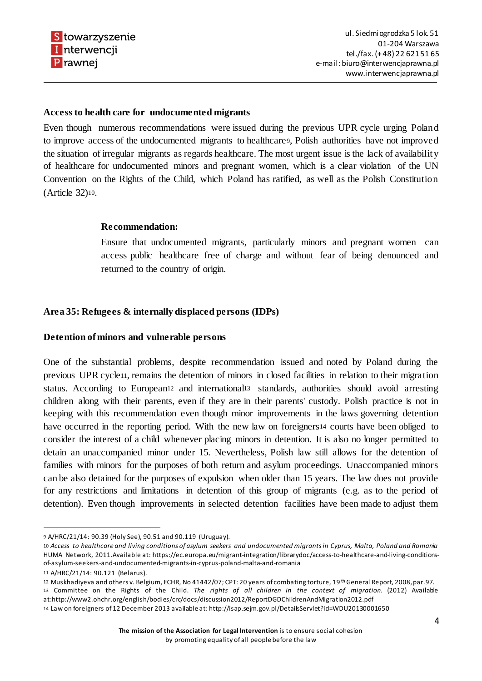#### **Access to health care for undocumented migrants**

Even though numerous recommendations were issued during the previous UPR cycle urging Poland to improve access of the undocumented migrants to healthcare9, Polish authorities have not improved the situation of irregular migrants as regards healthcare. The most urgent issue is the lack of availability of healthcare for undocumented minors and pregnant women, which is a clear violation of the UN Convention on the Rights of the Child, which Poland has ratified, as well as the Polish Constitution (Article 32)10.

#### **Recommendation:**

Ensure that undocumented migrants, particularly minors and pregnant women can access public healthcare free of charge and without fear of being denounced and returned to the country of origin.

# **Area 35: Refugees & internally displaced persons (IDPs)**

#### **Detention of minors and vulnerable persons**

One of the substantial problems, despite recommendation issued and noted by Poland during the previous UPR cycle11, remains the detention of minors in closed facilities in relation to their migration status. According to European<sup>12</sup> and international<sup>13</sup> standards, authorities should avoid arresting children along with their parents, even if they are in their parents' custody. Polish practice is not in keeping with this recommendation even though minor improvements in the laws governing detention have occurred in the reporting period. With the new law on foreigners<sup>14</sup> courts have been obliged to consider the interest of a child whenever placing minors in detention. It is also no longer permitted to detain an unaccompanied minor under 15. Nevertheless, Polish law still allows for the detention of families with minors for the purposes of both return and asylum proceedings. Unaccompanied minors can be also detained for the purposes of expulsion when older than 15 years. The law does not provide for any restrictions and limitations in detention of this group of migrants (e.g. as to the period of detention). Even though improvements in selected detention facilities have been made to adjust them

l

<sup>9</sup> A/HRC/21/14: 90.39 (Holy See), 90.51 and 90.119 (Uruguay).

<sup>10</sup> *Access to healthcare and living conditions of asylum seekers and undocumented migrants in Cyprus, Malta, Poland and Romania* HUMA Network, 2011.Available at: https://ec.europa.eu/migrant-integration/librarydoc/access-to-healthcare-and-living-conditionsof-asylum-seekers-and-undocumented-migrants-in-cyprus-poland-malta-and-romania

<sup>11</sup> A/HRC/21/14: 90.121 (Belarus).

<sup>12</sup> Muskhadiyeva and others v. Belgium, ECHR, No 41442/07; CPT: 20 years of combating torture, 19<sup>th</sup> General Report, 2008, par.97. 13 Committee on the Rights of the Child. *The rights of all children in the context of migration.* (2012) Available at:http://www2.ohchr.org/english/bodies/crc/docs/discussion2012/ReportDGDChildrenAndMigration2012.pdf

<sup>14</sup> Law on foreigners of 12 December 2013 available at: http://isap.sejm.gov.pl/DetailsServlet?id=WDU20130001650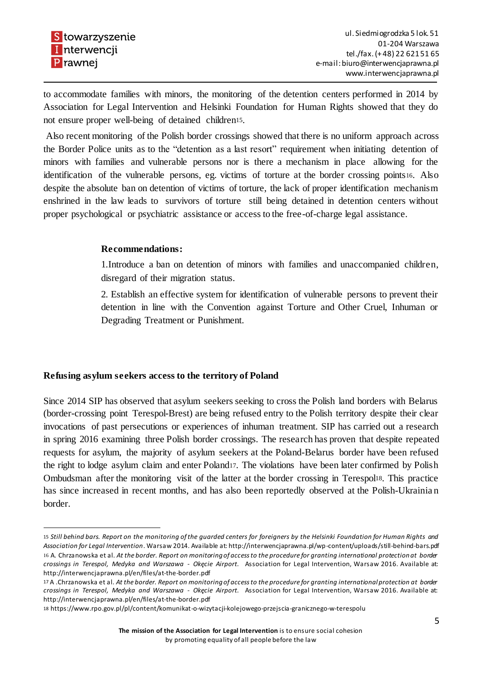l

to accommodate families with minors, the monitoring of the detention centers performed in 2014 by Association for Legal Intervention and Helsinki Foundation for Human Rights showed that they do not ensure proper well-being of detained children15.

Also recent monitoring of the Polish border crossings showed that there is no uniform approach across the Border Police units as to the "detention as a last resort" requirement when initiating detention of minors with families and vulnerable persons nor is there a mechanism in place allowing for the identification of the vulnerable persons, eg. victims of torture at the border crossing points16. Also despite the absolute ban on detention of victims of torture, the lack of proper identification mechanism enshrined in the law leads to survivors of torture still being detained in detention centers without proper psychological or psychiatric assistance or access to the free-of-charge legal assistance.

# **Recommendations:**

1.Introduce a ban on detention of minors with families and unaccompanied children, disregard of their migration status.

2. Establish an effective system for identification of vulnerable persons to prevent their detention in line with the Convention against Torture and Other Cruel, Inhuman or Degrading Treatment or Punishment.

#### **Refusing asylum seekers access to the territory of Poland**

Since 2014 SIP has observed that asylum seekers seeking to cross the Polish land borders with Belarus (border-crossing point Terespol-Brest) are being refused entry to the Polish territory despite their clear invocations of past persecutions or experiences of inhuman treatment. SIP has carried out a research in spring 2016 examining three Polish border crossings. The research has proven that despite repeated requests for asylum, the majority of asylum seekers at the Poland-Belarus border have been refused the right to lodge asylum claim and enter Poland17. The violations have been later confirmed by Polish Ombudsman after the monitoring visit of the latter at the border crossing in Terespol18. This practice has since increased in recent months, and has also been reportedly observed at the Polish-Ukrainia n border.

<sup>15</sup> *Still behind bars. Report on the monitoring of the guarded centers for foreigners by the Helsinki Foundation for Human Rights and Association for Legal Intervention*. Warsaw 2014. Available at: http://interwencjaprawna.pl/wp-content/uploads/still-behind-bars.pdf 16 A. Chrzanowska et al*. At the border. Report on monitoring of access to the procedure for granting international protection at border crossings in Terespol, Medyka and Warszawa - Okęcie Airport.* Association for Legal Intervention, Warsaw 2016. Available at: http://interwencjaprawna.pl/en/files/at-the-border.pdf

<sup>17</sup> A .Chrzanowska et al*. At the border. Report on monitoring of access to the procedure for granting international protection at border crossings in Terespol, Medyka and Warszawa - Okęcie Airport.* Association for Legal Intervention, Warsaw 2016. Available at: http://interwencjaprawna.pl/en/files/at-the-border.pdf

<sup>18</sup> https://www.rpo.gov.pl/pl/content/komunikat-o-wizytacji-kolejowego-przejscia-granicznego-w-terespolu